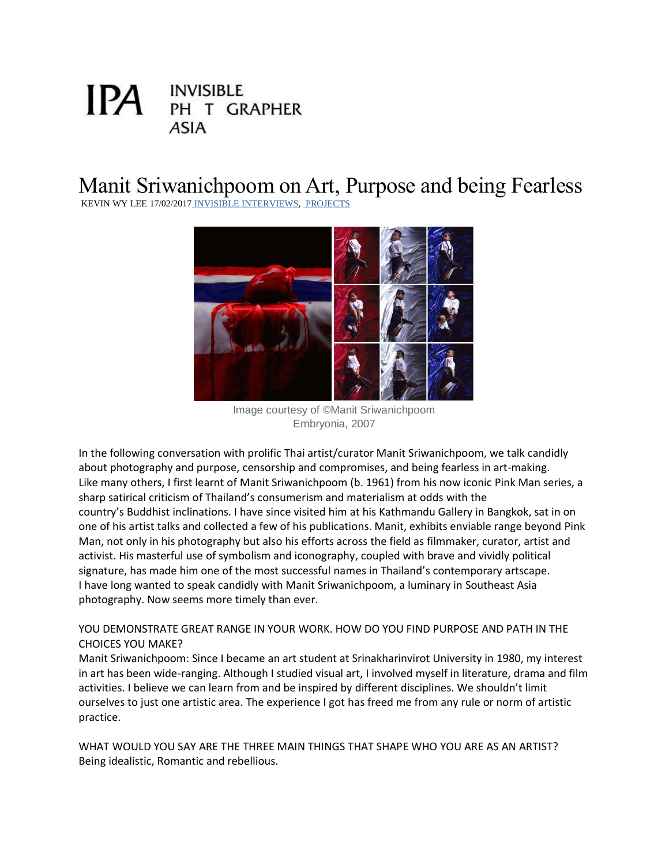# **INVISIBLE** IPA I PH T GRAPHER **ASIA**

# Manit Sriwanichpoom on Art, Purpose and being Fearless

KEVIN WY LEE 17/02/2017 [INVISIBLE INTERVIEWS,](http://invisiblephotographer.asia/category/invisible-interviews/) [PROJECTS](http://invisiblephotographer.asia/category/projects/)



Image courtesy of ©Manit Sriwanichpoom Embryonia, 2007

In the following conversation with prolific Thai artist/curator Manit Sriwanichpoom, we talk candidly about photography and purpose, censorship and compromises, and being fearless in art-making. Like many others, I first learnt of Manit Sriwanichpoom (b. 1961) from his now iconic Pink Man series, a sharp satirical criticism of Thailand's consumerism and materialism at odds with the country's Buddhist inclinations. I have since visited him at his Kathmandu Gallery in Bangkok, sat in on one of his artist talks and collected a few of his publications. Manit, exhibits enviable range beyond Pink Man, not only in his photography but also his efforts across the field as filmmaker, curator, artist and activist. His masterful use of symbolism and iconography, coupled with brave and vividly political signature, has made him one of the most successful names in Thailand's contemporary artscape. I have long wanted to speak candidly with Manit Sriwanichpoom, a luminary in Southeast Asia photography. Now seems more timely than ever.

## YOU DEMONSTRATE GREAT RANGE IN YOUR WORK. HOW DO YOU FIND PURPOSE AND PATH IN THE CHOICES YOU MAKE?

Manit Sriwanichpoom: Since I became an art student at Srinakharinvirot University in 1980, my interest in art has been wide-ranging. Although I studied visual art, I involved myself in literature, drama and film activities. I believe we can learn from and be inspired by different disciplines. We shouldn't limit ourselves to just one artistic area. The experience I got has freed me from any rule or norm of artistic practice.

WHAT WOULD YOU SAY ARE THE THREE MAIN THINGS THAT SHAPE WHO YOU ARE AS AN ARTIST? Being idealistic, Romantic and rebellious.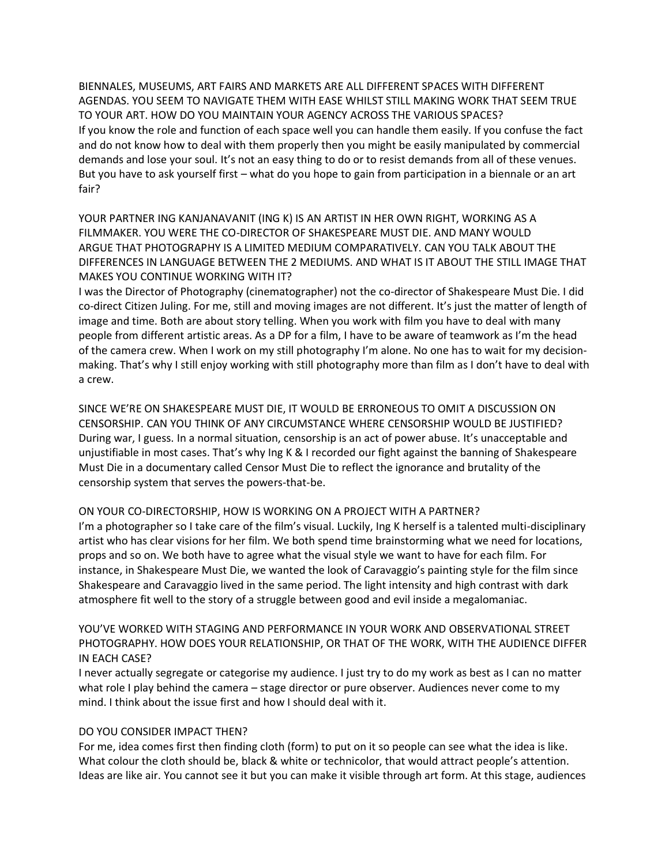BIENNALES, MUSEUMS, ART FAIRS AND MARKETS ARE ALL DIFFERENT SPACES WITH DIFFERENT AGENDAS. YOU SEEM TO NAVIGATE THEM WITH EASE WHILST STILL MAKING WORK THAT SEEM TRUE TO YOUR ART. HOW DO YOU MAINTAIN YOUR AGENCY ACROSS THE VARIOUS SPACES? If you know the role and function of each space well you can handle them easily. If you confuse the fact and do not know how to deal with them properly then you might be easily manipulated by commercial demands and lose your soul. It's not an easy thing to do or to resist demands from all of these venues. But you have to ask yourself first – what do you hope to gain from participation in a biennale or an art fair?

YOUR PARTNER ING KANJANAVANIT (ING K) IS AN ARTIST IN HER OWN RIGHT, WORKING AS A FILMMAKER. YOU WERE THE CO-DIRECTOR OF SHAKESPEARE MUST DIE. AND MANY WOULD ARGUE THAT PHOTOGRAPHY IS A LIMITED MEDIUM COMPARATIVELY. CAN YOU TALK ABOUT THE DIFFERENCES IN LANGUAGE BETWEEN THE 2 MEDIUMS. AND WHAT IS IT ABOUT THE STILL IMAGE THAT MAKES YOU CONTINUE WORKING WITH IT?

I was the Director of Photography (cinematographer) not the co-director of Shakespeare Must Die. I did co-direct Citizen Juling. For me, still and moving images are not different. It's just the matter of length of image and time. Both are about story telling. When you work with film you have to deal with many people from different artistic areas. As a DP for a film, I have to be aware of teamwork as I'm the head of the camera crew. When I work on my still photography I'm alone. No one has to wait for my decisionmaking. That's why I still enjoy working with still photography more than film as I don't have to deal with a crew.

SINCE WE'RE ON SHAKESPEARE MUST DIE, IT WOULD BE ERRONEOUS TO OMIT A DISCUSSION ON CENSORSHIP. CAN YOU THINK OF ANY CIRCUMSTANCE WHERE CENSORSHIP WOULD BE JUSTIFIED? During war, I guess. In a normal situation, censorship is an act of power abuse. It's unacceptable and unjustifiable in most cases. That's why Ing K & I recorded our fight against the banning of Shakespeare Must Die in a documentary called Censor Must Die to reflect the ignorance and brutality of the censorship system that serves the powers-that-be.

#### ON YOUR CO-DIRECTORSHIP, HOW IS WORKING ON A PROJECT WITH A PARTNER?

I'm a photographer so I take care of the film's visual. Luckily, Ing K herself is a talented multi-disciplinary artist who has clear visions for her film. We both spend time brainstorming what we need for locations, props and so on. We both have to agree what the visual style we want to have for each film. For instance, in Shakespeare Must Die, we wanted the look of Caravaggio's painting style for the film since Shakespeare and Caravaggio lived in the same period. The light intensity and high contrast with dark atmosphere fit well to the story of a struggle between good and evil inside a megalomaniac.

YOU'VE WORKED WITH STAGING AND PERFORMANCE IN YOUR WORK AND OBSERVATIONAL STREET PHOTOGRAPHY. HOW DOES YOUR RELATIONSHIP, OR THAT OF THE WORK, WITH THE AUDIENCE DIFFER IN EACH CASE?

I never actually segregate or categorise my audience. I just try to do my work as best as I can no matter what role I play behind the camera – stage director or pure observer. Audiences never come to my mind. I think about the issue first and how I should deal with it.

#### DO YOU CONSIDER IMPACT THEN?

For me, idea comes first then finding cloth (form) to put on it so people can see what the idea is like. What colour the cloth should be, black & white or technicolor, that would attract people's attention. Ideas are like air. You cannot see it but you can make it visible through art form. At this stage, audiences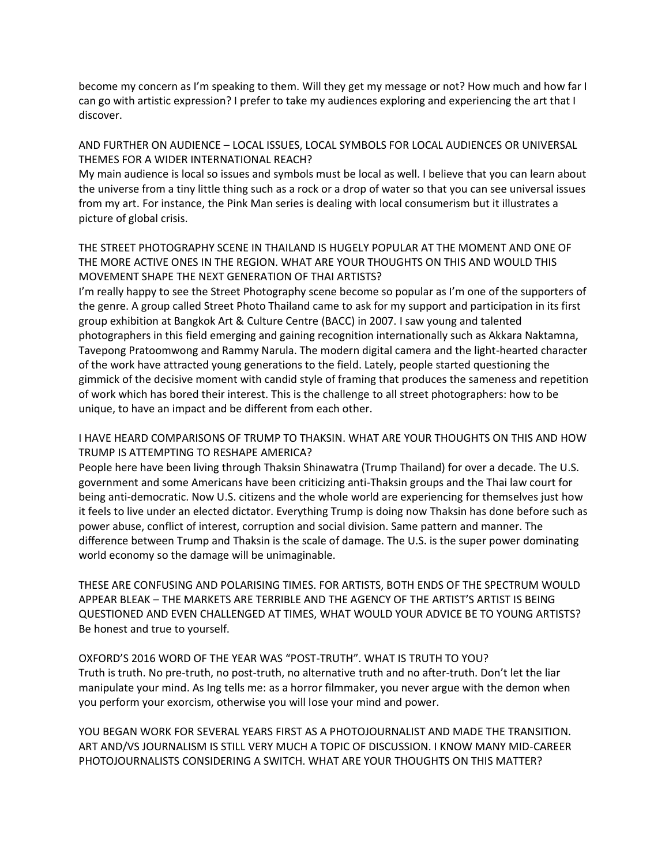become my concern as I'm speaking to them. Will they get my message or not? How much and how far I can go with artistic expression? I prefer to take my audiences exploring and experiencing the art that I discover.

### AND FURTHER ON AUDIENCE – LOCAL ISSUES, LOCAL SYMBOLS FOR LOCAL AUDIENCES OR UNIVERSAL THEMES FOR A WIDER INTERNATIONAL REACH?

My main audience is local so issues and symbols must be local as well. I believe that you can learn about the universe from a tiny little thing such as a rock or a drop of water so that you can see universal issues from my art. For instance, the Pink Man series is dealing with local consumerism but it illustrates a picture of global crisis.

## THE STREET PHOTOGRAPHY SCENE IN THAILAND IS HUGELY POPULAR AT THE MOMENT AND ONE OF THE MORE ACTIVE ONES IN THE REGION. WHAT ARE YOUR THOUGHTS ON THIS AND WOULD THIS MOVEMENT SHAPE THE NEXT GENERATION OF THAI ARTISTS?

I'm really happy to see the Street Photography scene become so popular as I'm one of the supporters of the genre. A group called Street Photo Thailand came to ask for my support and participation in its first group exhibition at Bangkok Art & Culture Centre (BACC) in 2007. I saw young and talented photographers in this field emerging and gaining recognition internationally such as Akkara Naktamna, Tavepong Pratoomwong and Rammy Narula. The modern digital camera and the light-hearted character of the work have attracted young generations to the field. Lately, people started questioning the gimmick of the decisive moment with candid style of framing that produces the sameness and repetition of work which has bored their interest. This is the challenge to all street photographers: how to be unique, to have an impact and be different from each other.

## I HAVE HEARD COMPARISONS OF TRUMP TO THAKSIN. WHAT ARE YOUR THOUGHTS ON THIS AND HOW TRUMP IS ATTEMPTING TO RESHAPE AMERICA?

People here have been living through Thaksin Shinawatra (Trump Thailand) for over a decade. The U.S. government and some Americans have been criticizing anti-Thaksin groups and the Thai law court for being anti-democratic. Now U.S. citizens and the whole world are experiencing for themselves just how it feels to live under an elected dictator. Everything Trump is doing now Thaksin has done before such as power abuse, conflict of interest, corruption and social division. Same pattern and manner. The difference between Trump and Thaksin is the scale of damage. The U.S. is the super power dominating world economy so the damage will be unimaginable.

THESE ARE CONFUSING AND POLARISING TIMES. FOR ARTISTS, BOTH ENDS OF THE SPECTRUM WOULD APPEAR BLEAK – THE MARKETS ARE TERRIBLE AND THE AGENCY OF THE ARTIST'S ARTIST IS BEING QUESTIONED AND EVEN CHALLENGED AT TIMES, WHAT WOULD YOUR ADVICE BE TO YOUNG ARTISTS? Be honest and true to yourself.

## OXFORD'S 2016 WORD OF THE YEAR WAS "POST-TRUTH". WHAT IS TRUTH TO YOU? Truth is truth. No pre-truth, no post-truth, no alternative truth and no after-truth. Don't let the liar manipulate your mind. As Ing tells me: as a horror filmmaker, you never argue with the demon when you perform your exorcism, otherwise you will lose your mind and power.

YOU BEGAN WORK FOR SEVERAL YEARS FIRST AS A PHOTOJOURNALIST AND MADE THE TRANSITION. ART AND/VS JOURNALISM IS STILL VERY MUCH A TOPIC OF DISCUSSION. I KNOW MANY MID-CAREER PHOTOJOURNALISTS CONSIDERING A SWITCH. WHAT ARE YOUR THOUGHTS ON THIS MATTER?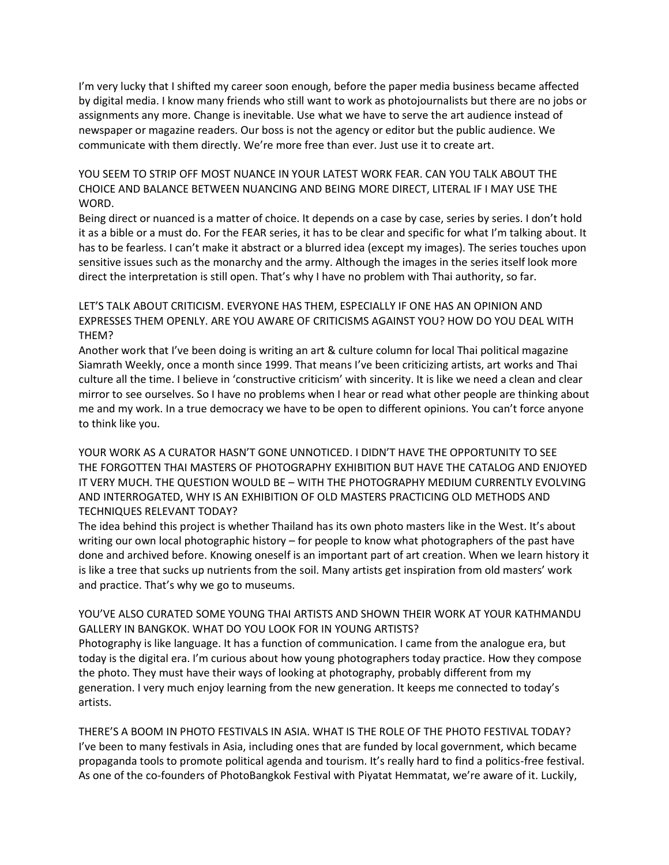I'm very lucky that I shifted my career soon enough, before the paper media business became affected by digital media. I know many friends who still want to work as photojournalists but there are no jobs or assignments any more. Change is inevitable. Use what we have to serve the art audience instead of newspaper or magazine readers. Our boss is not the agency or editor but the public audience. We communicate with them directly. We're more free than ever. Just use it to create art.

YOU SEEM TO STRIP OFF MOST NUANCE IN YOUR LATEST WORK FEAR. CAN YOU TALK ABOUT THE CHOICE AND BALANCE BETWEEN NUANCING AND BEING MORE DIRECT, LITERAL IF I MAY USE THE WORD.

Being direct or nuanced is a matter of choice. It depends on a case by case, series by series. I don't hold it as a bible or a must do. For the FEAR series, it has to be clear and specific for what I'm talking about. It has to be fearless. I can't make it abstract or a blurred idea (except my images). The series touches upon sensitive issues such as the monarchy and the army. Although the images in the series itself look more direct the interpretation is still open. That's why I have no problem with Thai authority, so far.

LET'S TALK ABOUT CRITICISM. EVERYONE HAS THEM, ESPECIALLY IF ONE HAS AN OPINION AND EXPRESSES THEM OPENLY. ARE YOU AWARE OF CRITICISMS AGAINST YOU? HOW DO YOU DEAL WITH THEM?

Another work that I've been doing is writing an art & culture column for local Thai political magazine Siamrath Weekly, once a month since 1999. That means I've been criticizing artists, art works and Thai culture all the time. I believe in 'constructive criticism' with sincerity. It is like we need a clean and clear mirror to see ourselves. So I have no problems when I hear or read what other people are thinking about me and my work. In a true democracy we have to be open to different opinions. You can't force anyone to think like you.

YOUR WORK AS A CURATOR HASN'T GONE UNNOTICED. I DIDN'T HAVE THE OPPORTUNITY TO SEE THE FORGOTTEN THAI MASTERS OF PHOTOGRAPHY EXHIBITION BUT HAVE THE CATALOG AND ENJOYED IT VERY MUCH. THE QUESTION WOULD BE – WITH THE PHOTOGRAPHY MEDIUM CURRENTLY EVOLVING AND INTERROGATED, WHY IS AN EXHIBITION OF OLD MASTERS PRACTICING OLD METHODS AND TECHNIQUES RELEVANT TODAY?

The idea behind this project is whether Thailand has its own photo masters like in the West. It's about writing our own local photographic history – for people to know what photographers of the past have done and archived before. Knowing oneself is an important part of art creation. When we learn history it is like a tree that sucks up nutrients from the soil. Many artists get inspiration from old masters' work and practice. That's why we go to museums.

YOU'VE ALSO CURATED SOME YOUNG THAI ARTISTS AND SHOWN THEIR WORK AT YOUR KATHMANDU GALLERY IN BANGKOK. WHAT DO YOU LOOK FOR IN YOUNG ARTISTS? Photography is like language. It has a function of communication. I came from the analogue era, but

today is the digital era. I'm curious about how young photographers today practice. How they compose the photo. They must have their ways of looking at photography, probably different from my generation. I very much enjoy learning from the new generation. It keeps me connected to today's artists.

THERE'S A BOOM IN PHOTO FESTIVALS IN ASIA. WHAT IS THE ROLE OF THE PHOTO FESTIVAL TODAY? I've been to many festivals in Asia, including ones that are funded by local government, which became propaganda tools to promote political agenda and tourism. It's really hard to find a politics-free festival. As one of the co-founders of PhotoBangkok Festival with Piyatat Hemmatat, we're aware of it. Luckily,